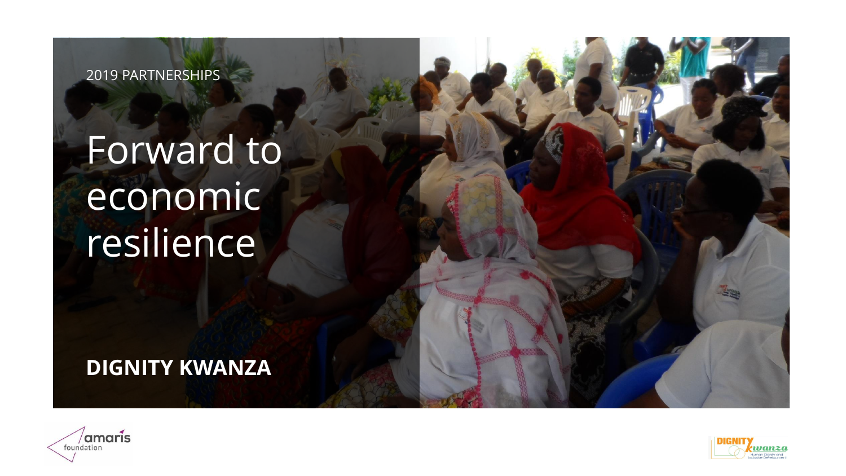2019 PARTNERSHIPS

# Forward to economic resilience

# **DIGNITY KWANZA**



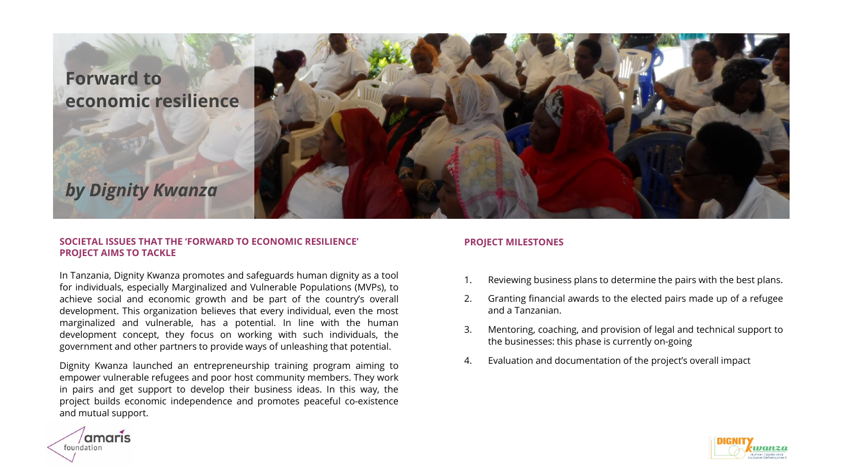

#### **SOCIETAL ISSUES THAT THE 'FORWARD TO ECONOMIC RESILIENCE' PROJECT AIMS TO TACKLE**

In Tanzania, Dignity Kwanza promotes and safeguards human dignity as a tool for individuals, especially Marginalized and Vulnerable Populations (MVPs), to achieve social and economic growth and be part of the country's overall development. This organization believes that every individual, even the most marginalized and vulnerable, has a potential. In line with the human development concept, they focus on working with such individuals, the government and other partners to provide ways of unleashing that potential.

Dignity Kwanza launched an entrepreneurship training program aiming to empower vulnerable refugees and poor host community members. They work in pairs and get support to develop their business ideas. In this way, the project builds economic independence and promotes peaceful co-existence and mutual support.

# **PROJECT MILESTONES**

- 1. Reviewing business plans to determine the pairs with the best plans.
- 2. Granting financial awards to the elected pairs made up of a refugee and a Tanzanian.
- 3. Mentoring, coaching, and provision of legal and technical support to the businesses: this phase is currently on-going
- 4. Evaluation and documentation of the project's overall impact



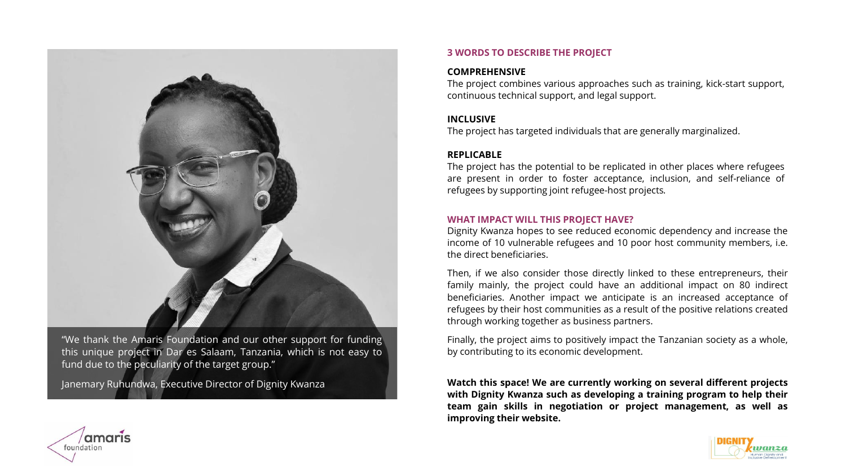

"We thank the Amaris Foundation and our other support for funding this unique project in Dar es Salaam, Tanzania, which is not easy to fund due to the peculiarity of the target group."

Janemary Ruhundwa, Executive Director of Dignity Kwanza

#### **3 WORDS TO DESCRIBE THE PROJECT**

#### **COMPREHENSIVE**

The project combines various approaches such as training, kick-start support, continuous technical support, and legal support.

## **INCLUSIVE**

The project has targeted individuals that are generally marginalized.

# **REPLICABLE**

The project has the potential to be replicated in other places where refugees are present in order to foster acceptance, inclusion, and self-reliance of refugees by supporting joint refugee-host projects*.*

#### **WHAT IMPACT WILL THIS PROJECT HAVE?**

Dignity Kwanza hopes to see reduced economic dependency and increase the income of 10 vulnerable refugees and 10 poor host community members, i.e. the direct beneficiaries.

Then, if we also consider those directly linked to these entrepreneurs, their family mainly, the project could have an additional impact on 80 indirect beneficiaries. Another impact we anticipate is an increased acceptance of refugees by their host communities as a result of the positive relations created through working together as business partners.

Finally, the project aims to positively impact the Tanzanian society as a whole, by contributing to its economic development.

**Watch this space! We are currently working on several different projects with Dignity Kwanza such as developing a training program to help their team gain skills in negotiation or project management, as well as improving their website.**